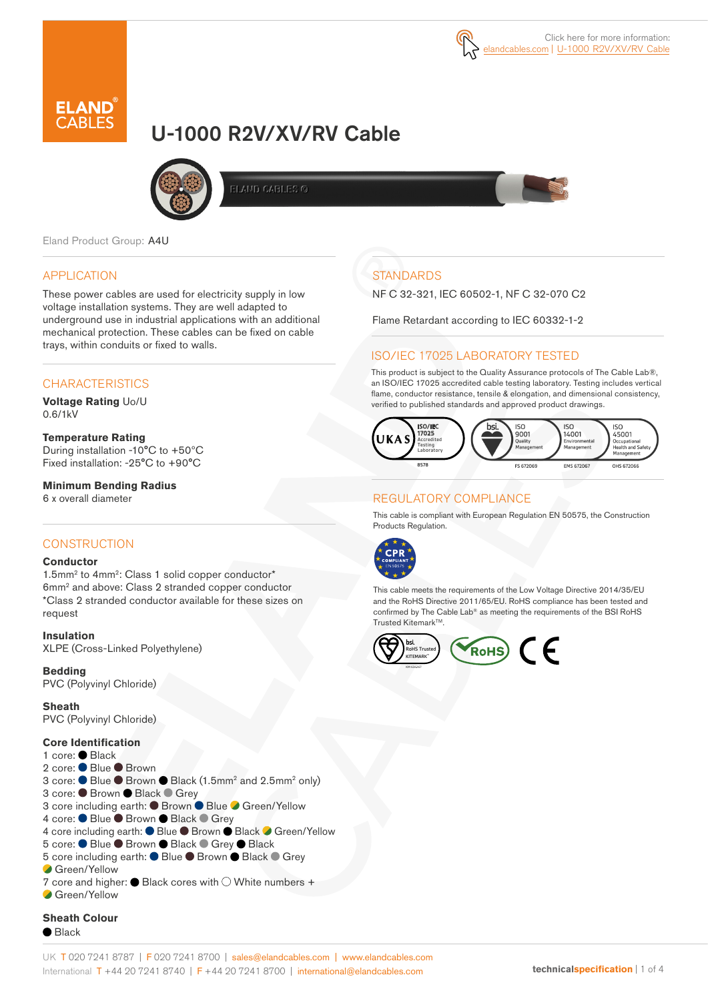

# U-1000 R2V/XV/RV Cable



**ELAMD CABLES G** 

Eland Product Group: A4U

#### APPLICATION

These power cables are used for electricity supply in low voltage installation systems. They are well adapted to underground use in industrial applications with an additional mechanical protection. These cables can be fixed on cable trays, within conduits or fixed to walls.

#### **CHARACTERISTICS**

**Voltage Rating** Uo/U 0.6/1kV

**Temperature Rating** During installation -10°C to +50ºC Fixed installation: -25°C to +90°C

**Minimum Bending Radius**  6 x overall diameter

#### **CONSTRUCTION**

#### **Conductor**

1.5mm<sup>2</sup> to 4mm<sup>2</sup>: Class 1 solid copper conductor\* 6mm2 and above: Class 2 stranded copper conductor \*Class 2 stranded conductor available for these sizes on request

**Insulation** XLPE (Cross-Linked Polyethylene)

**Bedding**  PVC (Polyvinyl Chloride)

**Sheath** PVC (Polyvinyl Chloride)

**Core Identification** 1 core: Black 2 core: ● Blue ● Brown 3 core: ● Blue ● Brown ● Black (1.5mm<sup>2</sup> and 2.5mm<sup>2</sup> only) 3 core: ● Brown ● Black ● Grey 3 core including earth: ● Brown ● Blue ● Green/Yellow 4 core: ● Blue ● Brown ● Black ● Grey 4 core including earth: ● Blue ● Brown ● Black ● Green/Yellow 5 core: ● Blue ● Brown ● Black ● Grey ● Black 5 core including earth: ● Blue ● Brown ● Black ● Grey Green/Yellow 7 core and higher:  $\bullet$  Black cores with  $\circlearrowright$  White numbers + Green/Yellow

### **STANDARDS**

NF C 32-321, IEC 60502-1, NF C 32-070 C2

Flame Retardant according to IEC 60332-1-2

#### ISO/IEC 17025 LABORATORY TESTED

This product is subject to the Quality Assurance protocols of The Cable Lab®, an ISO/IEC 17025 accredited cable testing laboratory. Testing includes vertical flame, conductor resistance, tensile & elongation, and dimensional consistency, verified to published standards and approved product drawings.



#### REGULATORY COMPLIANCE

This cable is compliant with European Regulation EN 50575, the Construction Products Regulation.



This cable meets the requirements of the Low Voltage Directive 2014/35/EU and the RoHS Directive 2011/65/EU. RoHS compliance has been tested and confirmed by The Cable Lab® as meeting the requirements of the BSI RoHS Trusted Kitemark<sup>™</sup>.



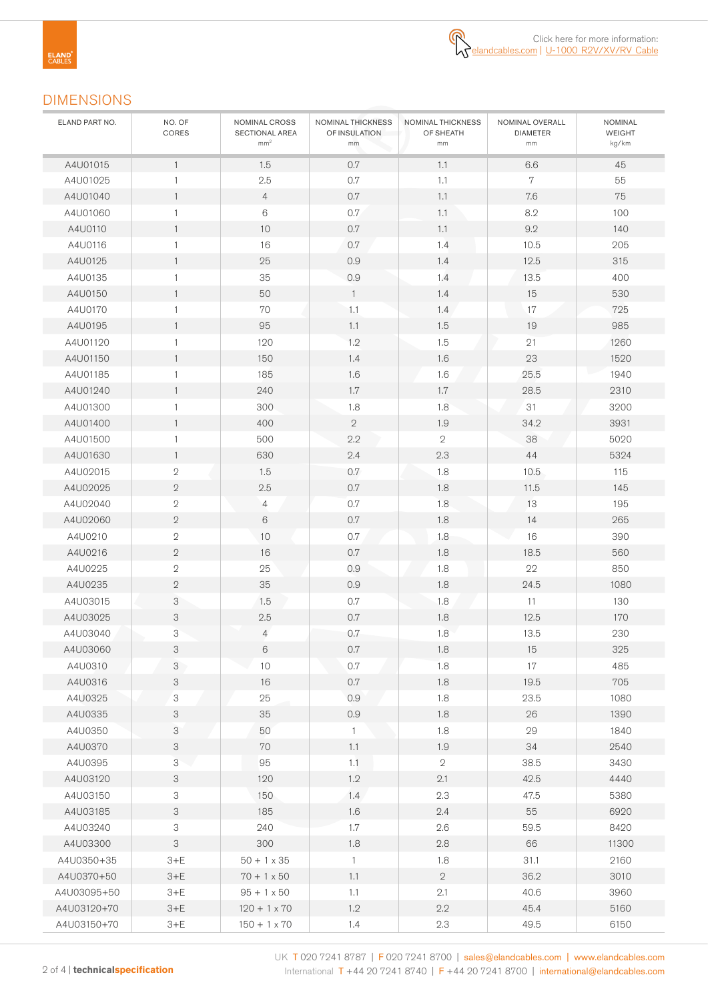## DIMENSIONS

| ELAND PART NO. | NO. OF<br>CORES           | NOMINAL CROSS<br>SECTIONAL AREA<br>mm <sup>2</sup> | NOMINAL THICKNESS<br>OF INSULATION<br>$\mathsf{mm}$ | NOMINAL THICKNESS<br>OF SHEATH<br>mm | NOMINAL OVERALL<br><b>DIAMETER</b><br>mm | NOMINAL<br><b>WEIGHT</b><br>kg/km |
|----------------|---------------------------|----------------------------------------------------|-----------------------------------------------------|--------------------------------------|------------------------------------------|-----------------------------------|
| A4U01015       | $\mathbf{1}$              | 1.5                                                | 0.7                                                 | 1.1                                  | 6.6                                      | 45                                |
| A4U01025       | $\mathbf{1}$              | 2.5                                                | $0.7\,$                                             | 1.1                                  | $\overline{7}$                           | 55                                |
| A4U01040       | $\mathbf{1}$              | $\overline{4}$                                     | $0.7\,$                                             | 1.1                                  | 7.6                                      | 75                                |
| A4U01060       | $\mathbf{1}$              | $\,6\,$                                            | 0.7                                                 | 1.1                                  | 8.2                                      | 100                               |
| A4U0110        | $\mathbf{1}$              | 10                                                 | $0.7\,$                                             | 1.1                                  | 9.2                                      | 140                               |
| A4U0116        | $\mathbf{1}$              | 16                                                 | 0.7                                                 | 1.4                                  | 10.5                                     | 205                               |
| A4U0125        | $\mathbf{1}$              | 25                                                 | 0.9                                                 | 1.4                                  | 12.5                                     | 315                               |
| A4U0135        | $\mathbf{1}$              | 35                                                 | $0.9\,$                                             | 1.4                                  | 13.5                                     | 400                               |
| A4U0150        | $\mathbf{1}$              | 50                                                 | $\mathbf{1}$                                        | 1.4                                  | 15                                       | 530                               |
| A4U0170        | 1                         | 70                                                 | 1.1                                                 | 1.4                                  | 17                                       | 725                               |
| A4U0195        | $\mathbf{1}$              | 95                                                 | 1.1                                                 | 1.5                                  | 19                                       | 985                               |
| A4U01120       | $\mathbf{1}$              | 120                                                | 1.2                                                 | 1.5                                  | 21                                       | 1260                              |
| A4U01150       | $\mathbf{1}$              | 150                                                | 1.4                                                 | 1.6                                  | 23                                       | 1520                              |
| A4U01185       | 1                         | 185                                                | 1.6                                                 | 1.6                                  | 25.5                                     | 1940                              |
| A4U01240       | $\mathbf{1}$              | 240                                                | 1.7                                                 | 1.7                                  | 28.5                                     | 2310                              |
| A4U01300       | $\mathbf{1}$              | 300                                                | 1.8                                                 | 1.8                                  | 31                                       | 3200                              |
| A4U01400       | $\mathbf{1}$              | 400                                                | $\sqrt{2}$                                          | 1.9                                  | 34.2                                     | 3931                              |
| A4U01500       | 1                         | 500                                                | 2.2                                                 | $\overline{2}$                       | 38                                       | 5020                              |
| A4U01630       | $\mathbf{1}$              | 630                                                | 2.4                                                 | 2.3                                  | 44                                       | 5324                              |
| A4U02015       | $\mathbf 2$               | 1.5                                                | 0.7                                                 | 1.8                                  | 10.5                                     | 115                               |
| A4U02025       | $\sqrt{2}$                | 2.5                                                | $0.7\,$                                             | 1.8                                  | 11.5                                     | 145                               |
| A4U02040       | 2                         | $\overline{4}$                                     | 0.7                                                 | 1.8                                  | 13                                       | 195                               |
| A4U02060       | $\sqrt{2}$                | $6\,$                                              | $0.7\,$                                             | 1.8                                  | 14                                       | 265                               |
| A4U0210        | $\overline{2}$            | 10                                                 | $0.7\,$                                             | 1.8                                  | 16                                       | 390                               |
| A4U0216        | $\mathbf 2$               | 16                                                 | $0.7\,$                                             | 1.8                                  | 18.5                                     | 560                               |
| A4U0225        | $\mathbf 2$               | 25                                                 | 0.9                                                 | 1.8                                  | 22                                       | 850                               |
| A4U0235        | $\sqrt{2}$                | 35                                                 | 0.9                                                 | 1.8                                  | 24.5                                     | 1080                              |
| A4U03015       | 3                         | 1.5                                                | 0.7                                                 | 1.8                                  | 11                                       | 130                               |
| A4U03025       | 3                         | 2.5                                                | $0.7\,$                                             | 1.8                                  | 12.5                                     | 170                               |
| A4U03040       | 3                         | $\overline{4}$                                     | 0.7                                                 | 1.8                                  | 13.5                                     | 230                               |
| A4U03060       | 3                         | 6                                                  | $0.7\,$                                             | $1.8\,$                              | 15                                       | 325                               |
| A4U0310        | 3                         | 10                                                 | $0.7\,$                                             | 1.8                                  | 17                                       | 485                               |
| A4U0316        | 3                         | $16\,$                                             | $0.7\,$                                             | 1.8                                  | 19.5                                     | 705                               |
| A4U0325        | 3                         | 25                                                 | 0.9                                                 | 1.8                                  | 23.5                                     | 1080                              |
| A4U0335        | 3                         | 35                                                 | $0.9\,$                                             | $1.8\,$                              | 26                                       | 1390                              |
| A4U0350        | 3                         | 50                                                 | $\mathbf{1}$                                        | 1.8                                  | 29                                       | 1840                              |
| A4U0370        | 3                         | 70                                                 | 1.1                                                 | 1.9                                  | 34                                       | 2540                              |
| A4U0395        | 3                         | 95                                                 | 1.1                                                 | $\sqrt{2}$                           | 38.5                                     | 3430                              |
| A4U03120       | 3                         | 120                                                | 1.2                                                 | 2.1                                  | 42.5                                     | 4440                              |
| A4U03150       | 3                         | 150                                                | 1.4                                                 | 2.3                                  | 47.5                                     | 5380                              |
| A4U03185       | 3                         | 185                                                | 1.6                                                 | 2.4                                  | 55                                       | 6920                              |
| A4U03240       | 3                         | 240                                                | 1.7                                                 | 2.6                                  | 59.5                                     | 8420                              |
| A4U03300       | $\ensuremath{\mathsf{3}}$ | 300                                                | 1.8                                                 | $2.8\,$                              | 66                                       | 11300                             |
| A4U0350+35     | $3+E$                     | $50 + 1 \times 35$                                 | $\mathbf{1}$                                        | 1.8                                  | 31.1                                     | 2160                              |
| A4U0370+50     | $3+E$                     | $70 + 1 \times 50$                                 | 1.1                                                 | $\sqrt{2}$                           | 36.2                                     | 3010                              |
| A4U03095+50    | $3+E$                     | $95 + 1 \times 50$                                 | 1.1                                                 | 2.1                                  | 40.6                                     | 3960                              |
| A4U03120+70    | $3+E$                     | $120 + 1 \times 70$                                | 1.2                                                 | 2.2                                  | 45.4                                     | 5160                              |
| A4U03150+70    | $3+E$                     | $150 + 1 \times 70$                                | 1.4                                                 | 2.3                                  | 49.5                                     | 6150                              |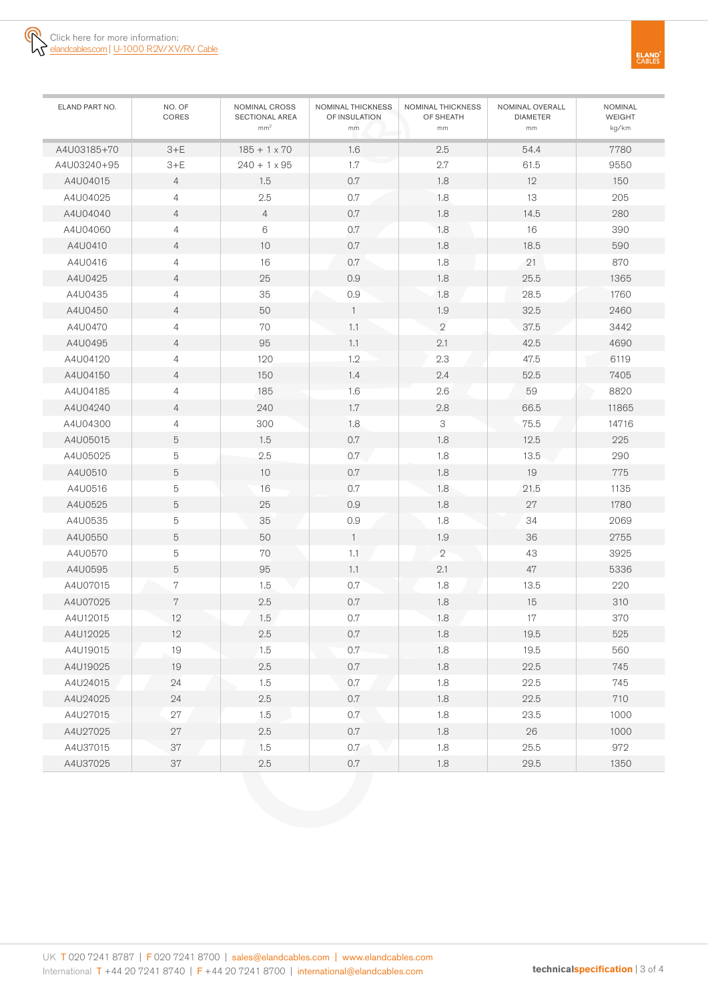

| ELAND PART NO. | NO. OF<br>CORES | NOMINAL CROSS<br>SECTIONAL AREA<br>mm <sup>2</sup> | NOMINAL THICKNESS<br>OF INSULATION<br>mm | NOMINAL THICKNESS<br>OF SHEATH<br>mm | NOMINAL OVERALL<br><b>DIAMETER</b><br>mm | <b>NOMINAL</b><br><b>WEIGHT</b><br>kg/km |
|----------------|-----------------|----------------------------------------------------|------------------------------------------|--------------------------------------|------------------------------------------|------------------------------------------|
| A4U03185+70    | $3+E$           | $185 + 1 \times 70$                                | 1.6                                      | 2.5                                  | 54.4                                     | 7780                                     |
| A4U03240+95    | $3+E$           | $240 + 1 \times 95$                                | 1.7                                      | 2.7                                  | 61.5                                     | 9550                                     |
| A4U04015       | $\overline{4}$  | 1.5                                                | $0.7\,$                                  | 1.8                                  | 12                                       | 150                                      |
| A4U04025       | $\overline{4}$  | 2.5                                                | $0.7\,$                                  | 1.8                                  | 13                                       | 205                                      |
| A4U04040       | $\overline{4}$  | $\overline{4}$                                     | $0.7\,$                                  | 1.8                                  | 14.5                                     | 280                                      |
| A4U04060       | 4               | 6                                                  | 0.7                                      | 1.8                                  | 16                                       | 390                                      |
| A4U0410        | $\overline{4}$  | 10                                                 | $0.7\,$                                  | 1.8                                  | 18.5                                     | 590                                      |
| A4U0416        | $\overline{4}$  | 16                                                 | 0.7                                      | 1.8                                  | 21                                       | 870                                      |
| A4U0425        | $\overline{4}$  | 25                                                 | 0.9                                      | 1.8                                  | 25.5                                     | 1365                                     |
| A4U0435        | 4               | 35                                                 | 0.9                                      | 1.8                                  | 28.5                                     | 1760                                     |
| A4U0450        | $\overline{4}$  | 50                                                 | $\mathbf{1}$                             | 1.9                                  | 32.5                                     | 2460                                     |
| A4U0470        | 4               | 70                                                 | 1.1                                      | $\mathbf{2}$                         | 37.5                                     | 3442                                     |
| A4U0495        | $\overline{4}$  | 95                                                 | 1.1                                      | 2.1                                  | 42.5                                     | 4690                                     |
| A4U04120       | 4               | 120                                                | 1.2                                      | 2.3                                  | 47.5                                     | 6119                                     |
| A4U04150       | $\overline{4}$  | 150                                                | 1.4                                      | 2.4                                  | 52.5                                     | 7405                                     |
| A4U04185       | $\overline{4}$  | 185                                                | 1.6                                      | 2.6                                  | 59                                       | 8820                                     |
| A4U04240       | $\overline{4}$  | 240                                                | 1.7                                      | 2.8                                  | 66.5                                     | 11865                                    |
| A4U04300       | 4               | 300                                                | 1.8                                      | 3                                    | 75.5                                     | 14716                                    |
| A4U05015       | 5               | 1.5                                                | $0.7\,$                                  | 1.8                                  | 12.5                                     | 225                                      |
| A4U05025       | 5               | 2.5                                                | 0.7                                      | 1.8                                  | 13.5                                     | 290                                      |
| A4U0510        | 5               | 10                                                 | $0.7\,$                                  | 1.8                                  | 19                                       | 775                                      |
| A4U0516        | 5               | 16                                                 | 0.7                                      | 1.8                                  | 21.5                                     | 1135                                     |
| A4U0525        | 5               | 25                                                 | 0.9                                      | 1.8                                  | 27                                       | 1780                                     |
| A4U0535        | $\mathbf 5$     | 35                                                 | 0.9                                      | 1.8                                  | 34                                       | 2069                                     |
| A4U0550        | 5               | 50                                                 | $\mathbf{1}$                             | 1.9                                  | 36                                       | 2755                                     |
| A4U0570        | $\mathbf 5$     | 70                                                 | 1.1                                      | $\mathbf{2}$                         | 43                                       | 3925                                     |
| A4U0595        | 5               | 95                                                 | 1.1                                      | 2.1                                  | 47                                       | 5336                                     |
| A4U07015       | 7               | 1.5                                                | 0.7                                      | 1.8                                  | 13.5                                     | 220                                      |
| A4U07025       | 7               | 2.5                                                | $0.7\,$                                  | 1.8                                  | 15                                       | 310                                      |
| A4U12015       | 12              | 1.5                                                | $0.7\,$                                  | 1.8                                  | $17\,$                                   | 370                                      |
| A4U12025       | 12              | $2.5\,$                                            | 0.7                                      | 1.8                                  | 19.5                                     | 525                                      |
| A4U19015       | 19              | 1.5                                                | 0.7                                      | 1.8                                  | 19.5                                     | 560                                      |
| A4U19025       | 19              | $2.5\,$                                            | $0.7\,$                                  | $1.8\,$                              | 22.5                                     | 745                                      |
| A4U24015       | 24              | 1.5                                                | 0.7                                      | 1.8                                  | 22.5                                     | 745                                      |
| A4U24025       | 24              | $2.5\,$                                            | 0.7                                      | 1.8                                  | 22.5                                     | 710                                      |
| A4U27015       | 27              | 1.5                                                | 0.7                                      | 1.8                                  | 23.5                                     | 1000                                     |
| A4U27025       | $27\,$          | $2.5\,$                                            | $0.7\,$                                  | $1.8\,$                              | $26\,$                                   | 1000                                     |
| A4U37015       | $37\,$          | 1.5                                                | 0.7                                      | $1.8\,$                              | 25.5                                     | 972                                      |
| A4U37025       | 37              | $2.5\,$                                            | $0.7\,$                                  | 1.8                                  | 29.5                                     | 1350                                     |